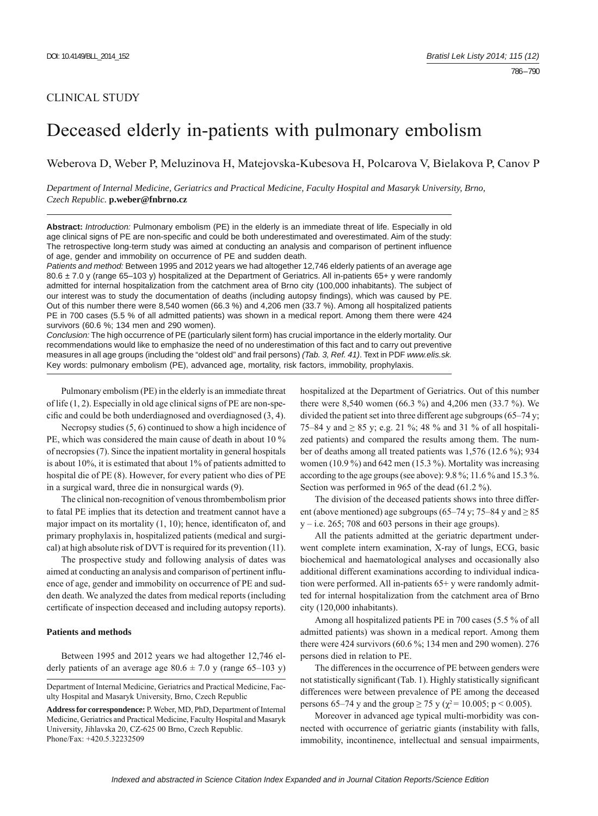# CLINICAL STUDY

# Deceased elderly in-patients with pulmonary embolism

Weberova D, Weber P, Meluzinova H, Matejovska-Kubesova H, Polcarova V, Bielakova P, Canov P

*Department of Internal Medicine, Geriatrics and Practical Medicine, Faculty Hospital and Masaryk University, Brno, Czech Republic.* **p.weber@fnbrno.cz**

**Abstract:** *Introduction:* Pulmonary embolism (PE) in the elderly is an immediate threat of life. Especially in old age clinical signs of PE are non-specific and could be both underestimated and overestimated. Aim of the study: The retrospective long-term study was aimed at conducting an analysis and comparison of pertinent influence of age, gender and immobility on occurrence of PE and sudden death.

*Patients and method:* Between 1995 and 2012 years we had altogether 12,746 elderly patients of an average age 80.6 ± 7.0 y (range 65-103 y) hospitalized at the Department of Geriatrics. All in-patients 65+ y were randomly admitted for internal hospitalization from the catchment area of Brno city (100,000 inhabitants). The subject of our interest was to study the documentation of deaths (including autopsy findings), which was caused by PE. Out of this number there were 8,540 women (66.3 %) and 4,206 men (33.7 %). Among all hospitalized patients PE in 700 cases (5.5 % of all admitted patients) was shown in a medical report. Among them there were 424 survivors (60.6 %; 134 men and 290 women).

*Conclusion:* The high occurrence of PE (particularly silent form) has crucial importance in the elderly mortality. Our recommendations would like to emphasize the need of no underestimation of this fact and to carry out preventive measures in all age groups (including the "oldest old" and frail persons) *(Tab. 3, Ref. 41)*. Text in PDF *www.elis.sk.* Key words: pulmonary embolism (PE), advanced age, mortality, risk factors, immobility, prophylaxis.

Pulmonary embolism (PE) in the elderly is an immediate threat of life (1, 2). Especially in old age clinical signs of PE are non-specific and could be both underdiagnosed and overdiagnosed  $(3, 4)$ .

Necropsy studies  $(5, 6)$  continued to show a high incidence of PE, which was considered the main cause of death in about 10 % of necropsies (7). Since the inpatient mortality in general hospitals is about 10%, it is estimated that about 1% of patients admitted to hospital die of PE (8). However, for every patient who dies of PE in a surgical ward, three die in nonsurgical wards (9).

The clinical non-recognition of venous thrombembolism prior to fatal PE implies that its detection and treatment cannot have a major impact on its mortality  $(1, 10)$ ; hence, identificaton of, and primary prophylaxis in, hospitalized patients (medical and surgical) at high absolute risk of DVT is required for its prevention (11).

The prospective study and following analysis of dates was aimed at conducting an analysis and comparison of pertinent influence of age, gender and immobility on occurrence of PE and sudden death. We analyzed the dates from medical reports (including certificate of inspection deceased and including autopsy reports).

### **Patients and methods**

Between 1995 and 2012 years we had altogether 12,746 elderly patients of an average age  $80.6 \pm 7.0$  y (range 65–103 y) hospitalized at the Department of Geriatrics. Out of this number there were 8,540 women (66.3 %) and 4,206 men (33.7 %). We divided the patient set into three different age subgroups (65–74 y; 75–84 y and ≥ 85 y; e.g. 21 %; 48 % and 31 % of all hospitalized patients) and compared the results among them. The number of deaths among all treated patients was 1,576 (12.6 %); 934 women (10.9 %) and 642 men (15.3 %). Mortality was increasing according to the age groups (see above): 9.8 %; 11.6 % and 15.3 %. Section was performed in 965 of the dead (61.2 %).

The division of the deceased patients shows into three different (above mentioned) age subgroups (65–74 y; 75–84 y and  $\geq$  85  $y - i.e. 265$ ; 708 and 603 persons in their age groups).

All the patients admitted at the geriatric department underwent complete intern examination, X-ray of lungs, ECG, basic biochemical and haematological analyses and occasionally also additional different examinations according to individual indication were performed. All in-patients 65+ y were randomly admitted for internal hospitalization from the catchment area of Brno city (120,000 inhabitants).

Among all hospitalized patients PE in 700 cases (5.5 % of all admitted patients) was shown in a medical report. Among them there were 424 survivors (60.6 %; 134 men and 290 women). 276 persons died in relation to PE.

The differences in the occurrence of PE between genders were not statistically significant (Tab. 1). Highly statistically significant differences were between prevalence of PE among the deceased persons 65–74 y and the group  $\geq$  75 y ( $\chi^2$  = 10.005; p < 0.005).

Moreover in advanced age typical multi-morbidity was connected with occurrence of geriatric giants (instability with falls, immobility, incontinence, intellectual and sensual impairments,

Department of Internal Medicine, Geriatrics and Practical Medicine, Faculty Hospital and Masaryk University, Brno, Czech Republic

**Address for correspondence:** P. Weber, MD, PhD, Department of Internal Medicine, Geriatrics and Practical Medicine, Faculty Hospital and Masaryk University, Jihlavska 20, CZ-625 00 Brno, Czech Republic. Phone/Fax: +420.5.32232509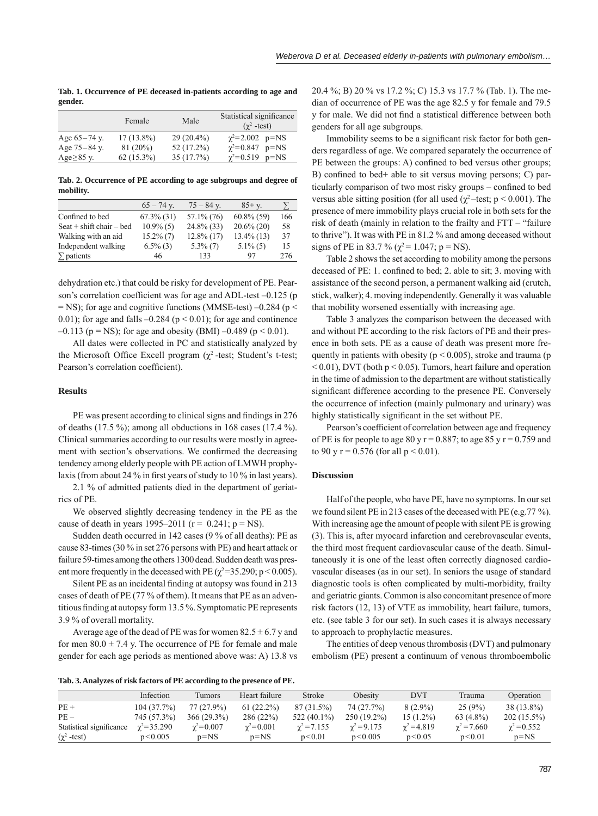**Tab. 1. Occurrence of PE deceased in-patients according to age and gender.**

|                  | Female       | Male         | Statistical significance<br>$(\gamma^2$ -test) |  |  |
|------------------|--------------|--------------|------------------------------------------------|--|--|
| Age $65-74$ y.   | $17(13.8\%)$ | $29(20.4\%)$ | $\gamma^2 = 2.002$ p=NS                        |  |  |
| Age $75 - 84$ y. | 81(20%)      | 52 (17.2%)   | $\gamma^2 = 0.847$ p=NS                        |  |  |
| Age $\geq$ 85 y. | $62(15.3\%)$ | 35(17.7%)    | $\gamma^2 = 0.519$ p=NS                        |  |  |

**Tab. 2. Occurrence of PE according to age subgroups and degree of mobility.**

|                              | $65 - 74$ y.  | $75 - 84$ y.  | $85 + y$ .    | У   |
|------------------------------|---------------|---------------|---------------|-----|
| Confined to bed              | $67.3\%$ (31) | $57.1\%$ (76) | $60.8\%$ (59) | 166 |
| Seat $+$ shift chair $-$ bed | $10.9\%$ (5)  | $24.8\%$ (33) | $20.6\%$ (20) | 58  |
| Walking with an aid          | $15.2\%$ (7)  | $12.8\%$ (17) | $13.4\%$ (13) | 37  |
| Independent walking          | $6.5\%$ (3)   | $5.3\%$ (7)   | $5.1\%$ (5)   | 15  |
| $\Sigma$ patients            | 46            | 133           | 97            | 276 |

dehydration etc.) that could be risky for development of PE. Pearson's correlation coefficient was for age and ADL-test -0.125 (p  $=$  NS); for age and cognitive functions (MMSE-test) –0.284 (p  $<$ 0.01); for age and falls  $-0.284$  ( $p < 0.01$ ); for age and continence  $-0.113$  (p = NS); for age and obesity (BMI)  $-0.489$  (p < 0.01).

All dates were collected in PC and statistically analyzed by the Microsoft Office Excell program ( $\chi^2$ -test; Student's t-test; Pearson's correlation coefficient).

#### **Results**

PE was present according to clinical signs and findings in 276 of deaths (17.5 %); among all obductions in 168 cases (17.4 %). Clinical summaries according to our results were mostly in agreement with section's observations. We confirmed the decreasing tendency among elderly people with PE action of LMWH prophylaxis (from about 24 % in first years of study to  $10\%$  in last years).

2.1 % of admitted patients died in the department of geriatrics of PE.

We observed slightly decreasing tendency in the PE as the cause of death in years 1995–2011 ( $r = 0.241$ ;  $p = NS$ ).

Sudden death occurred in 142 cases (9 % of all deaths): PE as cause 83-times (30 % in set 276 persons with PE) and heart attack or failure 59-times among the others 1300 dead. Sudden death was present more frequently in the deceased with PE ( $\chi^2$ =35.290; p < 0.005).

Silent PE as an incidental finding at autopsy was found in 213 cases of death of PE (77 % of them). It means that PE as an adventitious finding at autopsy form 13.5%. Symptomatic PE represents 3.9 % of overall mortality.

Average age of the dead of PE was for women  $82.5 \pm 6.7$  y and for men  $80.0 \pm 7.4$  y. The occurrence of PE for female and male gender for each age periods as mentioned above was: A) 13.8 vs

20.4 %; B) 20 % vs 17.2 %; C) 15.3 vs 17.7 % (Tab. 1). The median of occurrence of PE was the age 82.5 y for female and 79.5 y for male. We did not find a statistical difference between both genders for all age subgroups.

Immobility seems to be a significant risk factor for both genders regardless of age. We compared separately the occurrence of PE between the groups: A) confined to bed versus other groups; B) confined to bed+ able to sit versus moving persons; C) particularly comparison of two most risky groups – confined to bed versus able sitting position (for all used ( $\chi^2$  –test; p < 0.001). The presence of mere immobility plays crucial role in both sets for the risk of death (mainly in relation to the frailty and FTT – "failure to thrive"). It was with PE in 81.2 % and among deceased without signs of PE in 83.7 % ( $\chi^2$  = 1.047; p = NS).

Table 2 shows the set according to mobility among the persons deceased of PE: 1. confined to bed; 2. able to sit; 3. moving with assistance of the second person, a permanent walking aid (crutch, stick, walker); 4. moving independently. Generally it was valuable that mobility worsened essentially with increasing age.

Table 3 analyzes the comparison between the deceased with and without PE according to the risk factors of PE and their presence in both sets. PE as a cause of death was present more frequently in patients with obesity ( $p \le 0.005$ ), stroke and trauma (p  $\leq 0.01$ ), DVT (both p  $\leq 0.05$ ). Tumors, heart failure and operation in the time of admission to the department are without statistically significant difference according to the presence PE. Conversely the occurrence of infection (mainly pulmonary and urinary) was highly statistically significant in the set without PE.

Pearson's coefficient of correlation between age and frequency of PE is for people to age 80 y  $r = 0.887$ ; to age 85 y  $r = 0.759$  and to 90 y r = 0.576 (for all  $p < 0.01$ ).

#### **Discussion**

Half of the people, who have PE, have no symptoms. In our set we found silent PE in 213 cases of the deceased with PE (e.g.77 %). With increasing age the amount of people with silent PE is growing (3). This is, after myocard infarction and cerebrovascular events, the third most frequent cardiovascular cause of the death. Simultaneously it is one of the least often correctly diagnosed cardiovascular diseases (as in our set). In seniors the usage of standard diagnostic tools is often complicated by multi-morbidity, frailty and geriatric giants. Common is also concomitant presence of more risk factors (12, 13) of VTE as immobility, heart failure, tumors, etc. (see table 3 for our set). In such cases it is always necessary to approach to prophylactic measures.

The entities of deep venous thrombosis (DVT) and pulmonary embolism (PE) present a continuum of venous thromboembolic

**Tab. 3. Analyzes of risk factors of PE according to the presence of PE.**

|                          | Infection           | Tumors             | Heart failure      | Stroke             | Obesity            | <b>DVT</b>         | Trauma             | Operation          |
|--------------------------|---------------------|--------------------|--------------------|--------------------|--------------------|--------------------|--------------------|--------------------|
| $PE +$                   | 104(37.7%)          | 77 (27.9%)         | $61(22.2\%)$       | 87 (31.5%)         | 74 (27.7%)         | $8(2.9\%)$         | 25(9%)             | 38 (13.8%)         |
| $PE-$                    | 745 (57.3%)         | 366(29.3%)         | 286 (22%)          | 522 (40.1%)        | 250 (19.2%)        | $15(1.2\%)$        | $63(4.8\%)$        | $202(15.5\%)$      |
| Statistical significance | $\gamma^2 = 35.290$ | $\gamma^2 = 0.007$ | $\gamma^2 = 0.001$ | $\gamma^2 = 7.155$ | $\gamma^2 = 9.175$ | $\gamma^2 = 4.819$ | $\gamma^2 = 7.660$ | $\gamma^2 = 0.552$ |
| $(\chi^2$ -test)         | p < 0.005           | $p = NS$           | $p = NS$           | p < 0.01           | p < 0.005          | p < 0.05           | p<0.01             | $p = NS$           |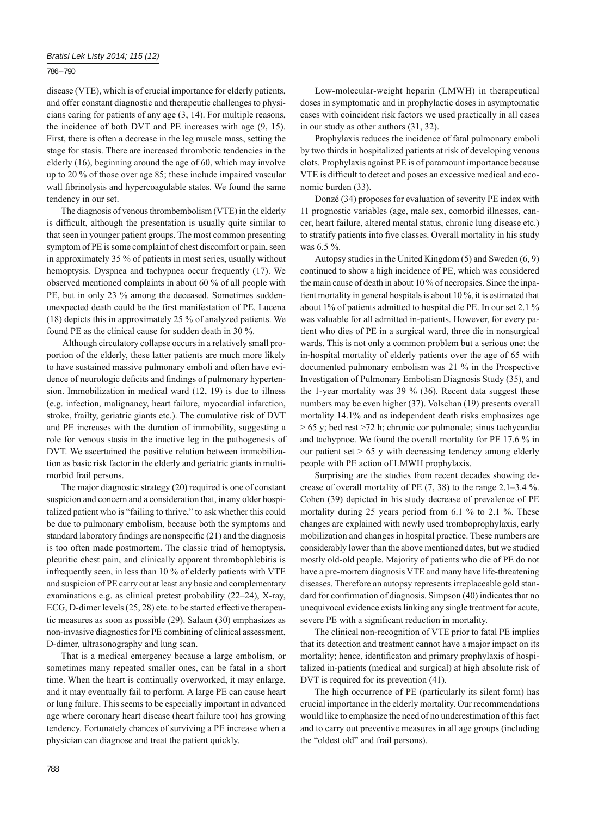## 786 – 790

disease (VTE), which is of crucial importance for elderly patients, and offer constant diagnostic and therapeutic challenges to physicians caring for patients of any age (3, 14). For multiple reasons, the incidence of both DVT and PE increases with age (9, 15). First, there is often a decrease in the leg muscle mass, setting the stage for stasis. There are increased thrombotic tendencies in the elderly (16), beginning around the age of 60, which may involve up to 20 % of those over age 85; these include impaired vascular wall fibrinolysis and hypercoagulable states. We found the same tendency in our set.

The diagnosis of venous thrombembolism (VTE) in the elderly is difficult, although the presentation is usually quite similar to that seen in younger patient groups. The most common presenting symptom of PE is some complaint of chest discomfort or pain, seen in approximately 35 % of patients in most series, usually without hemoptysis. Dyspnea and tachypnea occur frequently (17). We observed mentioned complaints in about 60 % of all people with PE, but in only 23 % among the deceased. Sometimes suddenunexpected death could be the first manifestation of PE. Lucena (18) depicts this in approximately 25 % of analyzed patients. We found PE as the clinical cause for sudden death in 30 %.

 Although circulatory collapse occurs in a relatively small proportion of the elderly, these latter patients are much more likely to have sustained massive pulmonary emboli and often have evidence of neurologic deficits and findings of pulmonary hypertension. Immobilization in medical ward (12, 19) is due to illness (e.g. infection, malignancy, heart failure, myocardial infarction, stroke, frailty, geriatric giants etc.). The cumulative risk of DVT and PE increases with the duration of immobility, suggesting a role for venous stasis in the inactive leg in the pathogenesis of DVT. We ascertained the positive relation between immobilization as basic risk factor in the elderly and geriatric giants in multimorbid frail persons.

The major diagnostic strategy (20) required is one of constant suspicion and concern and a consideration that, in any older hospitalized patient who is "failing to thrive," to ask whether this could be due to pulmonary embolism, because both the symptoms and standard laboratory findings are nonspecific  $(21)$  and the diagnosis is too often made postmortem. The classic triad of hemoptysis, pleuritic chest pain, and clinically apparent thrombophlebitis is infrequently seen, in less than 10 % of elderly patients with VTE and suspicion of PE carry out at least any basic and complementary examinations e.g. as clinical pretest probability (22–24), X-ray, ECG, D-dimer levels (25, 28) etc. to be started effective therapeutic measures as soon as possible (29). Salaun (30) emphasizes as non-invasive diagnostics for PE combining of clinical assessment, D-dimer, ultrasonography and lung scan.

That is a medical emergency because a large embolism, or sometimes many repeated smaller ones, can be fatal in a short time. When the heart is continually overworked, it may enlarge, and it may eventually fail to perform. A large PE can cause heart or lung failure. This seems to be especially important in advanced age where coronary heart disease (heart failure too) has growing tendency. Fortunately chances of surviving a PE increase when a physician can diagnose and treat the patient quickly.

Low-molecular-weight heparin (LMWH) in therapeutical doses in symptomatic and in prophylactic doses in asymptomatic cases with coincident risk factors we used practically in all cases in our study as other authors (31, 32).

Prophylaxis reduces the incidence of fatal pulmonary emboli by two thirds in hospitalized patients at risk of developing venous clots. Prophylaxis against PE is of paramount importance because VTE is difficult to detect and poses an excessive medical and economic burden (33).

Donzé (34) proposes for evaluation of severity PE index with 11 prognostic variables (age, male sex, comorbid illnesses, cancer, heart failure, altered mental status, chronic lung disease etc.) to stratify patients into five classes. Overall mortality in his study was 6.5 %.

Autopsy studies in the United Kingdom (5) and Sweden (6, 9) continued to show a high incidence of PE, which was considered the main cause of death in about 10 % of necropsies. Since the inpatient mortality in general hospitals is about 10 %, it is estimated that about 1% of patients admitted to hospital die PE. In our set 2.1 % was valuable for all admitted in-patients. However, for every patient who dies of PE in a surgical ward, three die in nonsurgical wards. This is not only a common problem but a serious one: the in-hospital mortality of elderly patients over the age of 65 with documented pulmonary embolism was 21 % in the Prospective Investigation of Pulmonary Embolism Diagnosis Study (35), and the 1-year mortality was 39 % (36). Recent data suggest these numbers may be even higher (37). Volschan (19) presents overall mortality 14.1% and as independent death risks emphasizes age > 65 y; bed rest >72 h; chronic cor pulmonale; sinus tachycardia and tachypnoe. We found the overall mortality for PE 17.6 % in our patient set  $> 65$  y with decreasing tendency among elderly people with PE action of LMWH prophylaxis.

Surprising are the studies from recent decades showing decrease of overall mortality of PE (7, 38) to the range 2.1–3.4 %. Cohen (39) depicted in his study decrease of prevalence of PE mortality during 25 years period from 6.1 % to 2.1 %. These changes are explained with newly used tromboprophylaxis, early mobilization and changes in hospital practice. These numbers are considerably lower than the above mentioned dates, but we studied mostly old-old people. Majority of patients who die of PE do not have a pre-mortem diagnosis VTE and many have life-threatening diseases. Therefore an autopsy represents irreplaceable gold standard for confirmation of diagnosis. Simpson (40) indicates that no unequivocal evidence exists linking any single treatment for acute, severe PE with a significant reduction in mortality.

The clinical non-recognition of VTE prior to fatal PE implies that its detection and treatment cannot have a major impact on its mortality; hence, identificaton and primary prophylaxis of hospitalized in-patients (medical and surgical) at high absolute risk of DVT is required for its prevention (41).

The high occurrence of PE (particularly its silent form) has crucial importance in the elderly mortality. Our recommendations would like to emphasize the need of no underestimation of this fact and to carry out preventive measures in all age groups (including the "oldest old" and frail persons).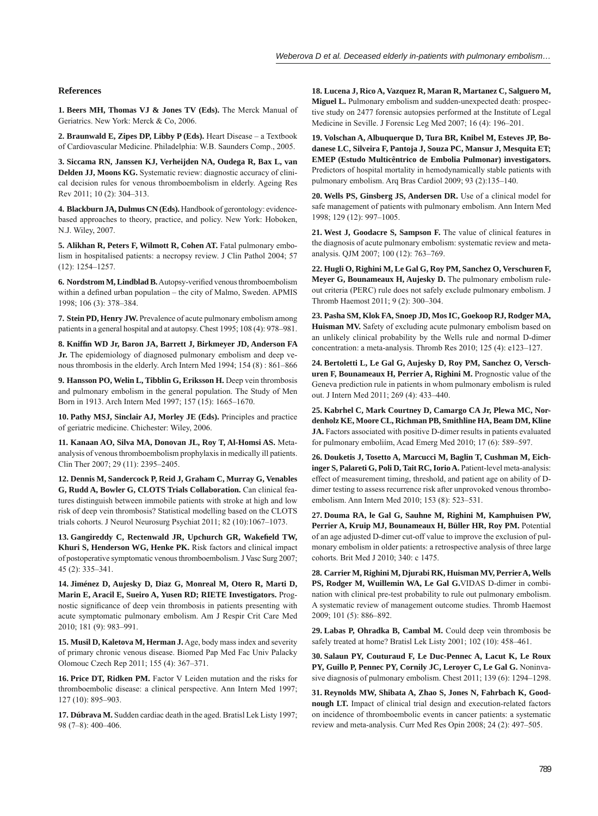#### **References**

**1. Beers MH, Thomas VJ & Jones TV (Eds).** The Merck Manual of Geriatrics. New York: Merck & Co, 2006.

**2. Braunwald E, Zipes DP, Libby P (Eds).** Heart Disease – a Textbook of Cardiovascular Medicine. Philadelphia: W.B. Saunders Comp., 2005.

**3. Siccama RN, Janssen KJ, Verheijden NA, Oudega R, Bax L, van Delden JJ, Moons KG.** Systematic review: diagnostic accuracy of clinical decision rules for venous thromboembolism in elderly. Ageing Res Rev 2011; 10 (2): 304–313.

**4. Blackburn JA, Dulmus CN (Eds).** Handbook of gerontology: evidencebased approaches to theory, practice, and policy. New York: Hoboken, N.J. Wiley, 2007.

**5. Alikhan R, Peters F, Wilmott R, Cohen AT.** Fatal pulmonary embolism in hospitalised patients: a necropsy review. J Clin Pathol 2004; 57 (12): 1254–1257.

6. Nordstrom M, Lindblad B. Autopsy-verified venous thromboembolism within a defined urban population – the city of Malmo, Sweden. APMIS 1998; 106 (3): 378–384.

**7. Stein PD, Henry JW.** Prevalence of acute pulmonary embolism among patients in a general hospital and at autopsy. Chest 1995; 108 (4): 978–981.

**8. Kniffi n WD Jr, Baron JA, Barrett J, Birkmeyer JD, Anderson FA Jr.** The epidemiology of diagnosed pulmonary embolism and deep venous thrombosis in the elderly. Arch Intern Med 1994; 154 (8) : 861–866

**9. Hansson PO, Welin L, Tibblin G, Eriksson H.** Deep vein thrombosis and pulmonary embolism in the general population. The Study of Men Born in 1913. Arch Intern Med 1997; 157 (15): 1665–1670.

**10. Pathy MSJ, Sinclair AJ, Morley JE (Eds).** Principles and practice of geriatric medicine. Chichester: Wiley, 2006.

**11. Kanaan AO, Silva MA, Donovan JL, Roy T, Al-Homsi AS.** Metaanalysis of venous thromboembolism prophylaxis in medically ill patients. Clin Ther 2007; 29 (11): 2395–2405.

**12. Dennis M, Sandercock P, Reid J, Graham C, Murray G, Venables G, Rudd A, Bowler G, CLOTS Trials Collaboration.** Can clinical features distinguish between immobile patients with stroke at high and low risk of deep vein thrombosis? Statistical modelling based on the CLOTS trials cohorts. J Neurol Neurosurg Psychiat 2011; 82 (10):1067–1073.

13. Gangireddy C, Rectenwald JR, Upchurch GR, Wakefield TW, **Khuri S, Henderson WG, Henke PK.** Risk factors and clinical impact of postoperative symptomatic venous thromboembolism. J Vasc Surg 2007; 45 (2): 335–341.

14. Jiménez D, Aujesky D, Diaz G, Monreal M, Otero R, Marti D, Marin E, Aracil E, Sueiro A, Yusen RD; RIETE Investigators. Prognostic significance of deep vein thrombosis in patients presenting with acute symptomatic pulmonary embolism. Am J Respir Crit Care Med 2010; 181 (9): 983–991.

**15. Musil D, Kaletova M, Herman J.** Age, body mass index and severity of primary chronic venous disease. Biomed Pap Med Fac Univ Palacky Olomouc Czech Rep 2011; 155 (4): 367–371.

16. Price DT, Ridken PM. Factor V Leiden mutation and the risks for thromboembolic disease: a clinical perspective. Ann Intern Med 1997; 127 (10): 895–903.

**17. Dúbrava M.** Sudden cardiac death in the aged. Bratisl Lek Listy 1997; 98 (7–8): 400–406.

18. Lucena J, Rico A, Vazquez R, Maran R, Martanez C, Salguero M, **Miguel L.** Pulmonary embolism and sudden-unexpected death: prospective study on 2477 forensic autopsies performed at the Institute of Legal Medicine in Seville. J Forensic Leg Med 2007; 16 (4): 196–201.

**19. Volschan A, Albuquerque D, Tura BR, Knibel M, Esteves JP, Bodanese LC, Silveira F, Pantoja J, Souza PC, Mansur J, Mesquita ET; EMEP (Estudo Multicêntrico de Embolia Pulmonar) investigators.**  Predictors of hospital mortality in hemodynamically stable patients with pulmonary embolism. Arq Bras Cardiol 2009; 93 (2):135–140.

**20. Wells PS, Ginsberg JS, Andersen DR.** Use of a clinical model for safe management of patients with pulmonary embolism. Ann Intern Med 1998; 129 (12): 997–1005.

**21. West J, Goodacre S, Sampson F.** The value of clinical features in the diagnosis of acute pulmonary embolism: systematic review and metaanalysis. QJM 2007; 100 (12): 763–769.

**22. Hugli O, Righini M, Le Gal G, Roy PM, Sanchez O, Verschuren F, Meyer G, Bounameaux H, Aujesky D.** The pulmonary embolism ruleout criteria (PERC) rule does not safely exclude pulmonary embolism. J Thromb Haemost 2011; 9 (2): 300–304.

**23. Pasha SM, Klok FA, Snoep JD, Mos IC, Goekoop RJ, Rodger MA, Huisman MV.** Safety of excluding acute pulmonary embolism based on an unlikely clinical probability by the Wells rule and normal D-dimer concentration: a meta-analysis. Thromb Res 2010; 125 (4): e123–127.

**24. Bertoletti L, Le Gal G, Aujesky D, Roy PM, Sanchez O, Verschuren F, Bounameaux H, Perrier A, Righini M.** Prognostic value of the Geneva prediction rule in patients in whom pulmonary embolism is ruled out. J Intern Med 2011; 269 (4): 433–440.

**25. Kabrhel C, Mark Courtney D, Camargo CA Jr, Plewa MC, Nordenholz KE, Moore CL, Richman PB, Smithline HA, Beam DM, Kline JA.** Factors associated with positive D-dimer results in patients evaluated for pulmonary emboliím, Acad Emerg Med 2010; 17 (6): 589–597.

**26. Douketis J, Tosetto A, Marcucci M, Baglin T, Cushman M, Eichinger S, Palareti G, Poli D, Tait RC, Iorio A.** Patient-level meta-analysis: effect of measurement timing, threshold, and patient age on ability of Ddimer testing to assess recurrence risk after unprovoked venous thromboembolism. Ann Intern Med 2010; 153 (8): 523–531.

**27. Douma RA, le Gal G, Sauhne M, Righini M, Kamphuisen PW, Perrier A, Kruip MJ, Bounameaux H, Büller HR, Roy PM.** Potential of an age adjusted D-dimer cut-off value to improve the exclusion of pulmonary embolism in older patients: a retrospective analysis of three large cohorts. Brit Med J 2010; 340: c 1475.

**28. Carrier M, Righini M, Djurabi RK, Huisman MV, Perrier A, Wells PS, Rodger M, Wuillemin WA, Le Gal G.**VIDAS D-dimer in combination with clinical pre-test probability to rule out pulmonary embolism. A systematic review of management outcome studies. Thromb Haemost 2009; 101 (5): 886–892.

**29. Labas P, Ohradka B, Cambal M.** Could deep vein thrombosis be safely treated at home? Bratisl Lek Listy 2001; 102 (10): 458–461.

**30. Salaun PY, Couturaud F, Le Duc-Pennec A, Lacut K, Le Roux PY, Guillo P, Pennec PY, Cornily JC, Leroyer C, Le Gal G.** Noninvasive diagnosis of pulmonary embolism. Chest 2011; 139 (6): 1294–1298.

**31. Reynolds MW, Shibata A, Zhao S, Jones N, Fahrbach K, Goodnough LT.** Impact of clinical trial design and execution-related factors on incidence of thromboembolic events in cancer patients: a systematic review and meta-analysis. Curr Med Res Opin 2008; 24 (2): 497–505.